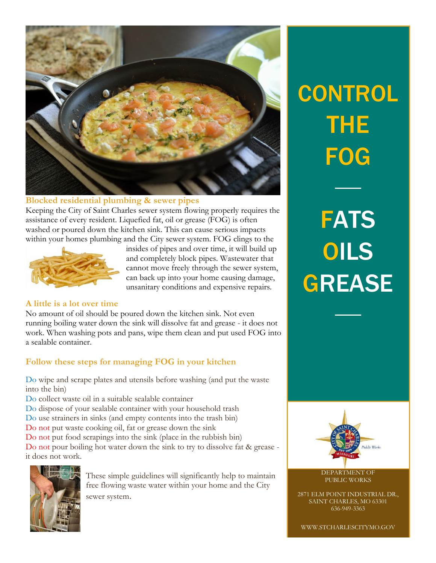

#### **Blocked residential plumbing & sewer pipes**

Keeping the City of Saint Charles sewer system flowing properly requires the assistance of every resident. Liquefied fat, oil or grease (FOG) is often washed or poured down the kitchen sink. This can cause serious impacts within your homes plumbing and the City sewer system. FOG clings to the



insides of pipes and over time, it will build up and completely block pipes. Wastewater that cannot move freely through the sewer system, can back up into your home causing damage, unsanitary conditions and expensive repairs.

### **A little is a lot over time**

No amount of oil should be poured down the kitchen sink. Not even running boiling water down the sink will dissolve fat and grease - it does not work. When washing pots and pans, wipe them clean and put used FOG into a sealable container.

### **Follow these steps for managing FOG in your kitchen**

Do wipe and scrape plates and utensils before washing (and put the waste into the bin)

Do collect waste oil in a suitable sealable container Do dispose of your sealable container with your household trash Do use strainers in sinks (and empty contents into the trash bin) Do not put waste cooking oil, fat or grease down the sink Do not put food scrapings into the sink (place in the rubbish bin) Do not pour boiling hot water down the sink to try to dissolve fat & grease it does not work.



These simple guidelines will significantly help to maintain free flowing waste water within your home and the City sewer system.

## **CONTROL** THE FOG

**FATS** OILS **GREASE** 



DEPARTMENT OF PUBLIC WORKS

2871 ELM POINT INDUSTRIAL DR., SAINT CHARLES, MO 63301 636-949-3363

WWW.STCHARLESCITYMO.GOV